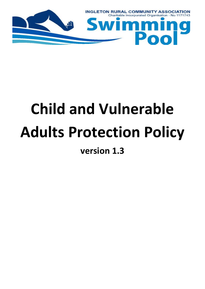

# **Child and Vulnerable Adults Protection Policy**

**version 1.3**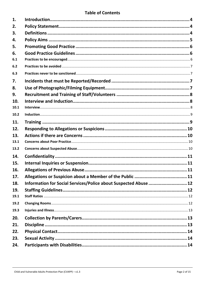# **Table of Contents**

| 1.   |                                                                  |  |
|------|------------------------------------------------------------------|--|
| 2.   |                                                                  |  |
| 3.   |                                                                  |  |
| 4.   |                                                                  |  |
| 5.   |                                                                  |  |
| 6.   |                                                                  |  |
| 6.1  |                                                                  |  |
| 6.2  |                                                                  |  |
| 6.3  |                                                                  |  |
| 7.   |                                                                  |  |
| 8.   |                                                                  |  |
| 9.   |                                                                  |  |
| 10.  |                                                                  |  |
| 10.1 |                                                                  |  |
| 10.2 |                                                                  |  |
| 11.  |                                                                  |  |
| 12.  |                                                                  |  |
| 13.  |                                                                  |  |
| 13.1 |                                                                  |  |
| 13.2 |                                                                  |  |
| 14.  |                                                                  |  |
| 15.  |                                                                  |  |
| 16.  |                                                                  |  |
| 17.  |                                                                  |  |
| 18.  | Information for Social Services/Police about Suspected Abuse  12 |  |
| 19.  |                                                                  |  |
| 19.1 |                                                                  |  |
| 19.2 |                                                                  |  |
| 19.3 |                                                                  |  |
| 20.  |                                                                  |  |
| 21.  |                                                                  |  |
| 22.  |                                                                  |  |
| 23.  |                                                                  |  |
|      |                                                                  |  |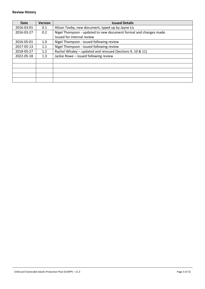| Date       | <b>Version</b> | <b>Issued Details</b>                                             |
|------------|----------------|-------------------------------------------------------------------|
| 2016-03-01 | 0.1            | Alison Tooby, new document, typed up by Jayne Lis                 |
| 2016-03-27 | 0.2            | Nigel Thompson - updated to new document format and changes made. |
|            |                | Issued for internal review                                        |
| 2016-05-01 | 1.0            | Nigel Thompson - issued following review                          |
| 2017-05-13 | 1.1            | Nigel Thompson - issued following review                          |
| 2018-05-27 | 1.2            | Rachel Whaley - updated and reissued (Sections 9, 10 & 11)        |
| 2022-05-18 | 1.3            | Jackie Rowe - issued following review                             |
|            |                |                                                                   |
|            |                |                                                                   |
|            |                |                                                                   |
|            |                |                                                                   |
|            |                |                                                                   |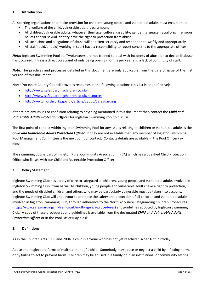# <span id="page-3-0"></span>**1. Introduction**

All sporting organisations that make provision for children, young people and vulnerable adults must ensure that:

- The welfare of the child/vulnerable adult is paramount
- All children/vulnerable adults, whatever their age, culture, disability, gender, language, racial origin religious beliefs and/or sexual identity have the right to protection from abuse
- All suspicions and allegations of abuse will be taken seriously and responded to swiftly and appropriately
- All staff (paid/unpaid) working in sport have a responsibility to report concerns to the appropriate officer

*Note:* Ingleton Swimming Pool staff/volunteers are not trained to deal with incidents of abuse or to decide if abuse has occurred. This is a direct constraint of only being open 3 months per year and a lack of continuity of staff.

*Note:* The practices and processes detailed in this document are only applicable from the date of issue of the first version of this document.

North Yorkshire County Council provides resources at the following locations (this list is not definitive):

- <http://www.safeguardingchildren.co.uk/>
- <http://www.safeguardingchildren.co.uk/resources>
- <http://www.northyorks.gov.uk/article/23566/Safeguarding>

If there are any issues or confusion relating to anything mentioned in this document then contact the *Child and Vulnerable Adults Protection Officer* for Ingleton Swimming Pool to discuss.

The first point of contact within Ingleton Swimming Pool for any issues relating to children or vulnerable adults is the *Child and Vulnerable Adults Protection Officer.* If they are not available then any member of Ingleton Swimming Pool Management Committee is the next point of contact. Contacts details are available in the Pool Office/Pay Kiosk.

The swimming pool is part of Ingleton Rural Community Association (IRCA) which has a qualified Child Protection Office who liaises with our Child and Vulnerable Protection Officer

# <span id="page-3-1"></span>**2. Policy Statement**

Ingleton Swimming Club has a duty of care to safeguard all children, young people and vulnerable adults involved in Ingleton Swimming Club, from harm. All children, young people and vulnerable adults have a right to protection, and the needs of disabled children and others who may be particularly vulnerable must be taken into account. Ingleton Swimming Club will endeavour to promote the safety and protection of all children and vulnerable adults involved in Ingleton Swimming Club, through adherence to the North Yorkshire Safeguarding Children Procedures [\(http://www.safeguardingchildren.co.uk/multi-agency-procedures\)](http://www.safeguardingchildren.co.uk/multi-agency-procedures) and guidelines adopted by Ingleton Swimming Club. A copy of these procedures and guidelines is available from the designated *Child and Vulnerable Adults Protection Officer* or in the Pool Office/Pay Kiosk.

# <span id="page-3-2"></span>**3. Definitions**

As in the Children Acts 1989 and 2004, a child is anyone who has not yet reached his/her 18th birthday.

Abuse and neglect are forms of maltreatment of a child. Somebody may abuse or neglect a child by inflicting harm, or by failing to act to prevent harm. Children may be abused in a family or in an institutional or community setting,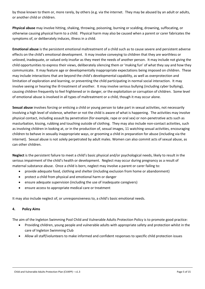by those known to them or, more rarely, by others (e.g. via the internet. They may be abused by an adult or adults, or another child or children.

**Physical abuse** may involve hitting, shaking, throwing, poisoning, burning or scalding, drowning, suffocating, or otherwise causing physical harm to a child. Physical harm may also be caused when a parent or carer fabricates the symptoms of, or deliberately induces, illness in a child.

**Emotional abuse** is the persistent emotional maltreatment of a child such as to cause severe and persistent adverse effects on the child's emotional development. It may involve conveying to children that they are worthless or unloved, inadequate, or valued only insofar as they meet the needs of another person. It may include not giving the child opportunities to express their views, deliberately silencing them or 'making fun' of what they say and how they communicate. It may feature age or developmentally inappropriate expectations being imposed on children. These may include interactions that are beyond the child's developmental capability, as well as overprotection and limitation of exploration and learning, or preventing the child participating in normal social interaction. It may involve seeing or hearing the ill-treatment of another. It may involve serious bullying (including cyber bullying), causing children frequently to feel frightened or in danger, or the exploitation or corruption of children. Some level of emotional abuse is involved in all types of maltreatment or a child, though it may occur alone.

**Sexual abuse** involves forcing or enticing a child or young person to take part in sexual activities, not necessarily involving a high level of violence, whether or not the child is aware of what is happening. The activities may involve physical contact, including assault by penetration (for example, rape or oral sex) or non-penetrative acts such as masturbation, kissing, rubbing and touching outside of clothing. They may also include non-contact activities, such as involving children in looking at, or in the production of, sexual images, 11 watching sexual activities, encouraging children to behave in sexually inappropriate ways, or grooming a child in preparation for abuse (including via the internet). Sexual abuse is not solely perpetrated by adult males. Women can also commit acts of sexual abuse, as can other children.

**Neglect** is the persistent failure to meet a child's basic physical and/or psychological needs, likely to result in the serious impairment of the child's health or development. Neglect may occur during pregnancy as a result of maternal substance abuse. Once a child is born, neglect may involve a parent or carer failing to:

- provide adequate food, clothing and shelter (including exclusion from home or abandonment)
- protect a child from physical and emotional harm or danger
- ensure adequate supervision (including the use of inadequate caregivers)
- ensure access to appropriate medical care or treatment

It may also include neglect of, or unresponsiveness to, a child's basic emotional needs.

# <span id="page-4-0"></span>**4. Policy Aims**

The aim of the Ingleton Swimming Pool Child and Vulnerable Adults Protection Policy is to promote good practice:

- Providing children, young people and vulnerable adults with appropriate safety and protection whilst in the care of Ingleton Swimming Club
- Allow all staff/volunteers to make informed and confident responses to specific child protection issues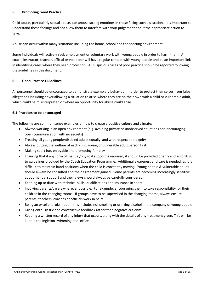# <span id="page-5-0"></span>**5. Promoting Good Practice**

Child abuse, particularly sexual abuse, can arouse strong emotions in those facing such a situation. It is important to understand these feelings and not allow them to interfere with your judgement about the appropriate action to take.

Abuse can occur within many situations including the home, school and the sporting environment.

Some individuals will actively seek employment or voluntary work with young people in order to harm them. A coach, instructor, teacher, official or volunteer will have regular contact with young people and be an important link in identifying cases where they need protection. All suspicious cases of poor practice should be reported following the guidelines in this document.

#### <span id="page-5-1"></span>**6. Good Practice Guidelines**

All personnel should be encouraged to demonstrate exemplary behaviour in order to protect themselves from false allegations including never allowing a situation to arise where they are on their own with a child or vulnerable adult, which could be misinterpreted or where an opportunity for abuse could arise.

#### <span id="page-5-2"></span>**6.1 Practices to be encouraged**

The following are common sense examples of how to create a positive culture and climate:

- Always working in an open environment (e.g. avoiding private or unobserved situations and encouraging open communication with no secrets)
- Treating all young people/disabled adults equally, and with respect and dignity
- Always putting the welfare of each child, young or vulnerable adult person first
- Making sport fun, enjoyable and promoting fair play
- Ensuring that if any form of manual/physical support is required, it should be provided openly and according to guidelines provided by the Coach Education Programme. Additional awareness and care is needed, as it is difficult to maintain hand positions when the child is constantly moving. Young people & vulnerable adults should always be consulted and their agreement gained. Some parents are becoming increasingly sensitive about manual support and their views should always be carefully considered
- Keeping up to date with technical skills, qualifications and insurance in sport
- Involving parents/carers wherever possible. For example, encouraging them to take responsibility for their children in the changing rooms. If groups have to be supervised in the changing rooms, always ensure parents, teachers, coaches or officials work in pairs
- Being an excellent role model this includes not smoking or drinking alcohol in the company of young people
- Giving enthusiastic and constructive feedback rather than negative criticism
- Keeping a written record of any injury that occurs, along with the details of any treatment given. This will be kept in the Ingleton swimming pool office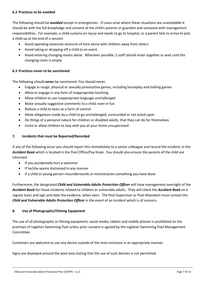#### <span id="page-6-0"></span>**6.2 Practices to be avoided**

The following should be *avoided* except in emergencies. If cases arise where these situations are unavoidable it should be with the full knowledge and consent of the child's parents or guardian and someone with management responsibilities. For example, a child sustains an injury and needs to go to hospital, or a parent fails to arrive to pick a child up at the end of a session:

- Avoid spending excessive amounts of time alone with children away from others
- Avoid taking or dropping off a child to an event
- Avoid entering changing rooms alone. Wherever possible, 2 staff should enter together or wait until the changing room is empty

#### <span id="page-6-1"></span>**6.3 Practices never to be sanctioned**

The following should *never* be sanctioned. You should never:

- Engage in rough, physical or sexually provocative games, including horseplay and tickling games
- Allow or engage in any form of inappropriate touching
- Allow children to use inappropriate language unchallenged
- Make sexually suggestive comments to a child, even in fun
- Reduce a child to tears as a form of control
- Allow allegations made by a child to go unchallenged, unrecorded or not acted upon
- Do things of a personal nature for children or disabled adults, that they can do for themselves
- Invite or allow children to stay with you at your home unsupervised

#### <span id="page-6-2"></span>**7. Incidents that must be Reported/Recorded**

If any of the following occur you should report this immediately to a senior colleague and record the incident, in the *Accident Book* which is located in the Pool Office/Pay Kiosk. You should also ensure the parents of the child are informed:

- If you accidentally hurt a swimmer
- If he/she seems distressed in any manner
- If a child or young person misunderstands or misinterprets something you have done

Furthermore, the designated *Child and Vulnerable Adults Protection Officer* will have management oversight of the *Accident Book* for those incidents related to children or vulnerable adults. They will check the *Accident Book* on a regular basis and sign and date the evidence, when seen. The Pool Supervisor or Pool Attendant must contact the *Child and Vulnerable Adults Protection Officer* in the event of an incident which is of concern.

#### <span id="page-6-3"></span>**8. Use of Photographic/Filming Equipment**

The use of all photographic or filming equipment, social media, tablets and mobile phones is prohibited on the premises of Ingleton Swimming Pool unless prior consent is agreed by the Ingleton Swimming Pool Management Committee.

Customers are welcome to use any device outside of the main entrance in an appropriate manner.

Signs are displayed around the pool area stating that the use of such devices is not permitted.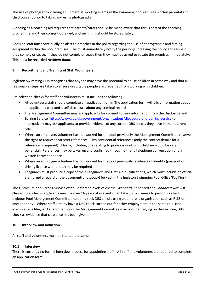The use of photographic/filming equipment at sporting events at the swimming pool requires written parental and child consent prior to taking and using photographs.

Videoing as a coaching aid requires that parents/carers should be made aware that this is part of the coaching programme and their consent obtained, and such films should be stored safely.

Poolside staff must continually be alert to breaches in the policy regarding the use of photographic and filming equipment within the pool premises. The must immediately notify the person(s) breaking the policy and request they comply or cease. If they do not comply or cease then they must be asked to vacate the premises immediately. This must be recorded *Accident Book*.

# <span id="page-7-0"></span>**9. Recruitment and Training of Staff/Volunteers**

Ingleton Swimming Club recognises that anyone may have the potential to abuse children in some way and that all reasonable steps are taken to ensure unsuitable people are prevented from working with children.

Pre-selection checks for staff and volunteers must include the following:

- All volunteers/staff should complete an application form. The application form will elicit information about an applicant's past and a self disclosure about any criminal record
- The Management Committee may ask applicants for consent to seek information from the Disclosure and Barring Service [\(https://www.gov.uk/government/organisations/disclosure-and-barring-service\)](https://www.gov.uk/government/organisations/disclosure-and-barring-service) or alternatively may ask applicants to provide evidence of any current DBS checks they have in their current role.
- Where an employee/volunteer has not worked for the pool previously the Management Committee reserve the right to request character references. Two confidential references (only the contact details for a reference is required). Ideally, including one relating to previous work with children would be very beneficial. References may be taken up and confirmed through either a telephone conversation or via written correspondence
- Where an employee/volunteer has not worked for the pool previously, evidence of identity (passport or driving licence with photo) may be required
- Lifeguards must produce a copy of their Lifeguard's and First Aid qualifications, which must include an official stamp and a record of the document(photocopy) be kept in the Ingleton Swimming Pool Office/Pay Kiosk

The Disclosure and Barring Service offer 3 different levels of checks, *Standard, Enhanced* and *Enhanced with list checks*. DBS checks applicants must be over 16 years of age and it can take up to 8 weeks to perform a check. Ingleton Pool Management Committee can only seek DBS checks using an umbrella organisation such as RLSS or another body. Where staff already have a DBS check carried out for other employment in the same role (for example, as a lifeguard at another pool) the Management Committee may consider relying on that existing DBS check as evidence that clearance has been given.

# <span id="page-7-1"></span>**10. Interview and Induction**

All staff and volunteers must be treated the same.

# <span id="page-7-2"></span>**10.1 Interview**

There is currently no formal interview process for appointing staff. All staff and volunteers are required to complete an application form.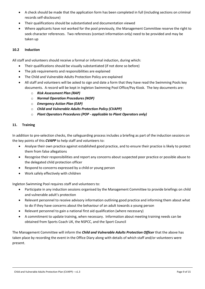- A check should be made that the application form has been completed in full (including sections on criminal records self-disclosure)
- Their qualifications should be substantiated and documentation viewed
- Where applicants have not worked for the pool previously, the Management Committee reserve the right to seek character references. Two references (contact information only) need to be provided and may be taken up

# <span id="page-8-0"></span>**10.2 Induction**

All staff and volunteers should receive a formal or informal induction, during which:

- Their qualifications should be visually substantiated (if not done so before)
- The job requirements and responsibilities are explained
- The Child and Vulnerable Adults Protection Policy are explained
- All staff and volunteers will be asked to sign and date a form that they have read the Swimming Pools key documents. A record will be kept in Ingleton Swimming Pool Office/Pay Kiosk. The key documents are:
	- o *Risk Assessment Plan (RAP)*
	- o *Normal Operation Procedures (NOP)*
	- o *Emergency Action Plan (EAP)*
	- o *Child and Vulnerable Adults Protection Policy (CVAPP)*
	- o *Plant Operators Procedures (POP - applicable to Plant Operators only)*

# <span id="page-8-1"></span>**11. Training**

In addition to pre-selection checks, the safeguarding process includes a briefing as part of the induction sessions on the key points of this *CVAPP* to help staff and volunteers to:

- Analyse their own practice against established good practice, and to ensure their practice is likely to protect them from false allegations
- Recognise their responsibilities and report any concerns about suspected poor practice or possible abuse to the delegated child protection officer
- Respond to concerns expressed by a child or young person
- Work safely effectively with children

Ingleton Swimming Pool requires staff and volunteers to:

- Participate in any induction sessions organised by the Management Committee to provide briefings on child and vulnerable adult's protection
- Relevant personnel to receive advisory information outlining good practice and informing them about what to do if they have concerns about the behaviour of an adult towards a young person
- Relevant personnel to gain a national first aid qualification (where necessary)
- A commitment to update training, when necessary. Information about meeting training needs can be obtained from Sports Coach UK, the NSPCC, and the Sport Council

The Management Committee will inform the *Child and Vulnerable Adults Protection Officer* that the above has taken place by recording the event in the Office Diary along with details of which staff and/or volunteers were present.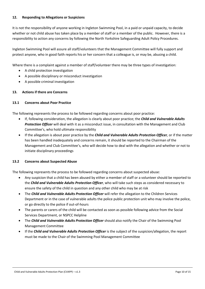#### <span id="page-9-0"></span>**12. Responding to Allegations or Suspicions**

It is not the responsibility of anyone working in Ingleton Swimming Pool, in a paid or unpaid capacity, to decide whether or not child abuse has taken place by a member of staff or a member of the public. However, there is a responsibility to action any concerns by following the North Yorkshire Safeguarding Adult Policy Procedures.

Ingleton Swimming Pool will assure all staff/volunteers that the Management Committee will fully support and protect anyone, who in good faith reports his or her concern that a colleague is, or may be, abusing a child.

Where there is a complaint against a member of staff/volunteer there may be three types of investigation:

- A child protection investigation
- A possible disciplinary or misconduct investigation
- A possible criminal investigation

#### <span id="page-9-1"></span>**13. Actions if there are Concerns**

#### <span id="page-9-2"></span>**13.1 Concerns about Poor Practice**

The following represents the process to be followed regarding concerns about poor practice:

- If, following consideration, the allegation is clearly about poor practice; the *Child and Vulnerable Adults Protection Officer* will deal with it as a misconduct issue, in consultation with the Management and Club Committee's, who hold ultimate responsibility
- If the allegation is about poor practice by the *Child and Vulnerable Adults Protection Officer,* or if the matter has been handled inadequately and concerns remain, it should be reported to the Chairman of the Management and Club Committee's, who will decide how to deal with the allegation and whether or not to initiate disciplinary proceedings

# <span id="page-9-3"></span>**13.2 Concerns about Suspected Abuse**

The following represents the process to be followed regarding concerns about suspected abuse:

- Any suspicion that a child has been abused by either a member of staff or a volunteer should be reported to the *Child and Vulnerable Adults Protection Officer*, who will take such steps as considered necessary to ensure the safety of the child in question and any other child who may be at risk
- The *Child and Vulnerable Adults Protection Officer* will refer the allegation to the Children Services Department or in the case of vulnerable adults the police public protection unit who may involve the police, or go directly to the police if out-of-hours
- The parents or carers of the child will be contacted as soon as possible following advice from the Social Services Department, or NSPCC Helpline
- The *Child and Vulnerable Adults Protection Officer* should also notify the Chair of the Swimming Pool Management Committee
- If the *Child and Vulnerable Adults Protection Officer* is the subject of the suspicion/allegation, the report must be made to the Chair of the Swimming Pool Management Committee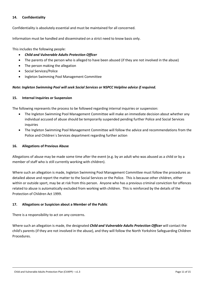#### <span id="page-10-0"></span>**14. Confidentiality**

Confidentiality is absolutely essential and must be maintained for all concerned.

Information must be handled and disseminated on a strict need to know basis only.

This includes the following people:

- *Child and Vulnerable Adults Protection Officer*
- The parents of the person who is alleged to have been abused (if they are not involved in the abuse)
- The person making the allegation
- Social Services/Police
- Ingleton Swimming Pool Management Committee

#### *Note: Ingleton Swimming Pool will seek Social Services or NSPCC Helpline advice if required.*

#### <span id="page-10-1"></span>**15. Internal Inquiries or Suspension**

The following represents the process to be followed regarding internal inquiries or suspension:

- The Ingleton Swimming Pool Management Committee will make an immediate decision about whether any individual accused of abuse should be temporarily suspended pending further Police and Social Services inquiries
- The Ingleton Swimming Pool Management Committee will follow the advice and recommendations from the Police and Children`s Services department regarding further action

#### <span id="page-10-2"></span>**16. Allegations of Previous Abuse**

Allegations of abuse may be made some time after the event (e.g. by an adult who was abused as a child or by a member of staff who is still currently working with children).

Where such an allegation is made, Ingleton Swimming Pool Management Committee must follow the procedures as detailed above and report the matter to the Social Services or the Police. This is because other children, either within or outside sport, may be at risk from this person. Anyone who has a previous criminal conviction for offences related to abuse is automatically excluded from working with children. This is reinforced by the details of the Protection of Children Act 1999.

# <span id="page-10-3"></span>**17. Allegations or Suspicion about a Member of the Public**

There is a responsibility to act on any concerns.

Where such an allegation is made, the designated *Child and Vulnerable Adults Protection Officer* will contact the child's parents (if they are not involved in the abuse), and they will follow the North Yorkshire Safeguarding Children Procedures.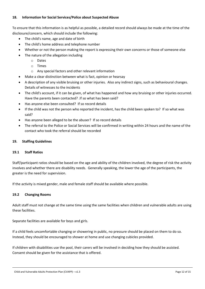#### <span id="page-11-0"></span>**18. Information for Social Services/Police about Suspected Abuse**

To ensure that this information is as helpful as possible, a detailed record should always be made at the time of the disclosure/concern, which should include the following:

- The child's name, age and date of birth
- The child's home address and telephone number
- Whether or not the person making the report is expressing their own concerns or those of someone else
- The nature of the allegation including
	- o Dates
	- o Times
	- o Any special factors and other relevant information
- Make a clear distinction between what is fact, opinion or hearsay
- A description of any visible bruising or other injuries. Also any indirect signs, such as behavioural changes. Details of witnesses to the incidents
- The child's account, if it can be given, of what has happened and how any bruising or other injuries occurred. Have the parents been contacted? .If so what has been said?
- Has anyone else been consulted? If so record details
- If the child was not the person who reported the incident, has the child been spoken to? If so what was said?
- Has anyone been alleged to be the abuser? If so record details
- The referral to the Police or Social Services will be confirmed in writing within 24 hours and the name of the contact who took the referral should be recorded

#### <span id="page-11-1"></span>**19. Staffing Guidelines**

#### <span id="page-11-2"></span>**19.1 Staff Ratios**

Staff/participant ratios should be based on the age and ability of the children involved, the degree of risk the activity involves and whether there are disability needs. Generally speaking, the lower the age of the participants, the greater is the need for supervision.

If the activity is mixed gender, male and female staff should be available where possible.

#### <span id="page-11-3"></span>**19.2 Changing Rooms**

Adult staff must not change at the same time using the same facilities when children and vulnerable adults are using these facilities.

Separate facilities are available for boys and girls.

If a child feels uncomfortable changing or showering in public, no pressure should be placed on them to do so. Instead, they should be encouraged to shower at home and use changing cubicles provided.

If children with disabilities use the pool, their carers will be involved in deciding how they should be assisted. Consent should be given for the assistance that is offered.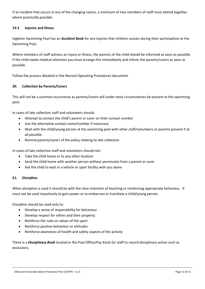If an incident that occurs in any of the changing rooms, a minimum of two members of staff must attend together where practically possible.

# <span id="page-12-0"></span>**19.3 Injuries and Illness**

Ingleton Swimming Pool has an *Accident Book* for any injuries that children sustain during their participation at the Swimming Pool.

Where members of staff witness an injury or illness, the parents of the child should be informed as soon as possible. If the child needs medical attention you must arrange this immediately and inform the parents/carers as soon as possible.

Follow the process detailed in the Normal Operating Procedures document.

# <span id="page-12-1"></span>**20. Collection by Parents/Carers**

This will not be a common occurrence as parents/carers will under most circumstances be present at the swimming pool.

In cases of late collection staff and volunteers should:

- Attempt to contact the child's parent or carer on their contact number
- Use the alternative contact name/number if necessary
- Wait with the child/young person at the swimming pool with other staff/volunteers or parents present if at all possible
- Remind parents/carers of the policy relating to late collection

In cases of late collection staff and volunteers should not:

- Take the child home or to any other location
- Send the child home with another person without permission from a parent or carer
- Ask the child to wait in a vehicle or sport facility with you alone

# <span id="page-12-2"></span>**21. Discipline**

When discipline is used it should be with the clear intention of teaching or reinforcing appropriate behaviour. It must not be used impulsively to gain power or to embarrass or humiliate a child/young person.

Discipline should be used only to:

- Develop a sense of responsibility for behaviour
- Develop respect for others and their property
- Reinforce the rules or values of the sport
- Reinforce positive behaviour or attitudes
- Reinforce awareness of health and safety aspects of the activity

There is a *Disciplinary Book* located in the Pool Office/Pay Kiosk for staff to record disciplinary action such as exclusions.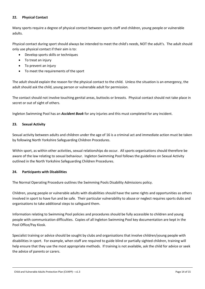#### <span id="page-13-0"></span>**22. Physical Contact**

Many sports require a degree of physical contact between sports staff and children, young people or vulnerable adults.

Physical contact during sport should always be intended to meet the child's needs, NOT the adult's. The adult should only use physical contact if their aim is to:

- Develop sports skills or techniques
- To treat an injury
- To prevent an injury
- To meet the requirements of the sport

The adult should explain the reason for the physical contact to the child. Unless the situation is an emergency, the adult should ask the child, young person or vulnerable adult for permission.

The contact should not involve touching genital areas, buttocks or breasts. Physical contact should not take place in secret or out of sight of others.

Ingleton Swimming Pool has an *Accident Book* for any injuries and this must completed for any incident.

#### <span id="page-13-1"></span>**23. Sexual Activity**

Sexual activity between adults and children under the age of 16 is a criminal act and immediate action must be taken by following North Yorkshire Safeguarding Children Procedures.

Within sport, as within other activities, sexual relationships do occur. All sports organisations should therefore be aware of the law relating to sexual behaviour. Ingleton Swimming Pool follows the guidelines on Sexual Activity outlined in the North Yorkshire Safeguarding Children Procedures.

#### <span id="page-13-2"></span>**24. Participants with Disabilities**

The Normal Operating Procedure outlines the Swimming Pools Disability Admissions policy.

Children, young people or vulnerable adults with disabilities should have the same rights and opportunities as others involved in sport to have fun and be safe. Their particular vulnerability to abuse or neglect requires sports dubs and organisations to take additional steps to safeguard them.

Information relating to Swimming Pool policies and procedures should be fully accessible to children and young people with communication difficulties. Copies of all Ingleton Swimming Pool key documentation are kept in the Pool Office/Pay Kiosk.

Specialist training or advice should be sought by clubs and organisations that involve children/young people with disabilities in sport. For example, when staff are required to guide blind or partially sighted children, training will help ensure that they use the most appropriate methods. If training is not available, ask the child for advice or seek the advice of parents or carers.